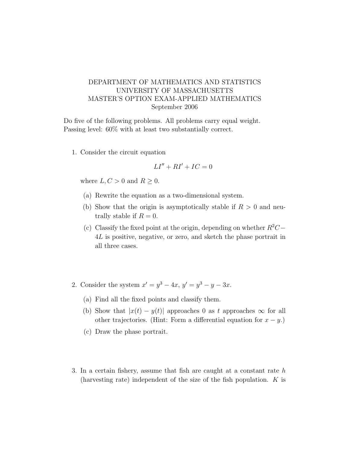## DEPARTMENT OF MATHEMATICS AND STATISTICS UNIVERSITY OF MASSACHUSETTS MASTER'S OPTION EXAM-APPLIED MATHEMATICS September 2006

Do five of the following problems. All problems carry equal weight. Passing level: 60% with at least two substantially correct.

1. Consider the circuit equation

$$
LI'' + RI' + IC = 0
$$

where  $L, C > 0$  and  $R \geq 0$ .

- (a) Rewrite the equation as a two-dimensional system.
- (b) Show that the origin is asymptotically stable if  $R > 0$  and neutrally stable if  $R = 0$ .
- (c) Classify the fixed point at the origin, depending on whether  $R^2C-$ 4L is positive, negative, or zero, and sketch the phase portrait in all three cases.
- 2. Consider the system  $x' = y^3 4x$ ,  $y' = y^3 y 3x$ .
	- (a) Find all the fixed points and classify them.
	- (b) Show that  $|x(t) y(t)|$  approaches 0 as t approaches  $\infty$  for all other trajectories. (Hint: Form a differential equation for  $x - y$ .)
	- (c) Draw the phase portrait.
- 3. In a certain fishery, assume that fish are caught at a constant rate h (harvesting rate) independent of the size of the fish population.  $K$  is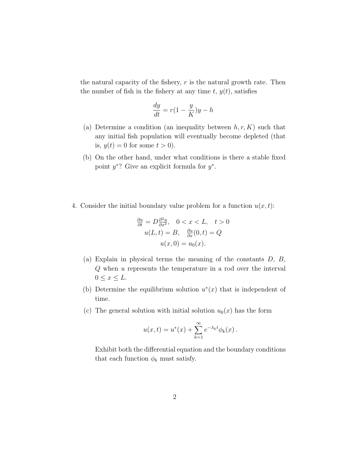the natural capacity of the fishery,  $r$  is the natural growth rate. Then the number of fish in the fishery at any time  $t, y(t)$ , satisfies

$$
\frac{dy}{dt} = r(1 - \frac{y}{K})y - h
$$

- (a) Determine a condition (an inequality between  $h, r, K$ ) such that any initial fish population will eventually become depleted (that is,  $y(t) = 0$  for some  $t > 0$ ).
- (b) On the other hand, under what conditions is there a stable fixed point  $y^*$ ? Give an explicit formula for  $y^*$ .
- 4. Consider the initial boundary value problem for a function  $u(x, t)$ :

$$
\frac{\partial u}{\partial t} = D \frac{\partial^2 u}{\partial x^2}, \quad 0 < x < L, \quad t > 0
$$
\n
$$
u(L, t) = B, \quad \frac{\partial u}{\partial x}(0, t) = Q
$$
\n
$$
u(x, 0) = u_0(x).
$$

- (a) Explain in physical terms the meaning of the constants  $D, B$ , Q when u represents the temperature in a rod over the interval  $0 \leq x \leq L.$
- (b) Determine the equilibrium solution  $u^*(x)$  that is independent of time.
- (c) The general solution with initial solution  $u_0(x)$  has the form

$$
u(x,t) = u^*(x) + \sum_{k=1}^{\infty} e^{-\lambda_k t} \phi_k(x).
$$

Exhibit both the differential equation and the boundary conditions that each function  $\phi_k$  must satisfy.